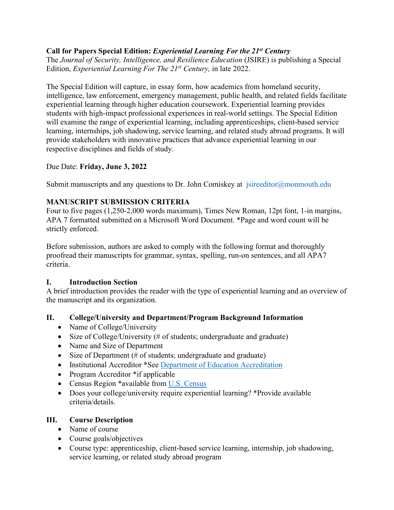## **Call for Papers Special Edition:** *Experiential Learning For the 21st Century*

The *Journal of Security, Intelligence, and Resilience Education* (JSIRE) is publishing a Special Edition, *Experiential Learning For The 21st Century,* in late 2022.

The Special Edition will capture, in essay form, how academics from homeland security, intelligence, law enforcement, emergency management, public health, and related fields facilitate experiential learning through higher education coursework. Experiential learning provides students with high-impact professional experiences in real-world settings. The Special Edition will examine the range of experiential learning, including apprenticeships, client-based service learning, internships, job shadowing, service learning, and related study abroad programs. It will provide stakeholders with innovative practices that advance experiential learning in our respective disciplines and fields of study.

### Due Date: **Friday, June 3, 2022**

Submit manuscripts and any questions to Dr. John Comiskey at  $\frac{1}{1}$  is irregular incomposition subsetequently

# **MANUSCRIPT SUBMISSION CRITERIA**

Four to five pages (1,250-2,000 words maximum), Times New Roman, 12pt font, 1-in margins, APA 7 formatted submitted on a Microsoft Word Document. \*Page and word count will be strictly enforced.

Before submission, authors are asked to comply with the following format and thoroughly proofread their manuscripts for grammar, syntax, spelling, run-on sentences, and all APA7 criteria.

### **I. Introduction Section**

A brief introduction provides the reader with the type of experiential learning and an overview of the manuscript and its organization.

# **II. College/University and Department/Program Background Information**

- Name of College/University
- Size of College/University (# of students; undergraduate and graduate)
- Name and Size of Department
- Size of Department (# of students; undergraduate and graduate)
- Institutional Accreditor \*See [Department of Education Accreditation](https://www.ed.gov/accreditation)
- Program Accreditor \*if applicable
- Census Region \*available from [U.S. Census](https://www2.census.gov/geo/pdfs/maps-data/maps/reference/us_regdiv.pdf)
- Does your college/university require experiential learning? \*Provide available criteria/details.

### **III. Course Description**

- Name of course
- Course goals/objectives
- Course type: apprenticeship, client-based service learning, internship, job shadowing, service learning, or related study abroad program